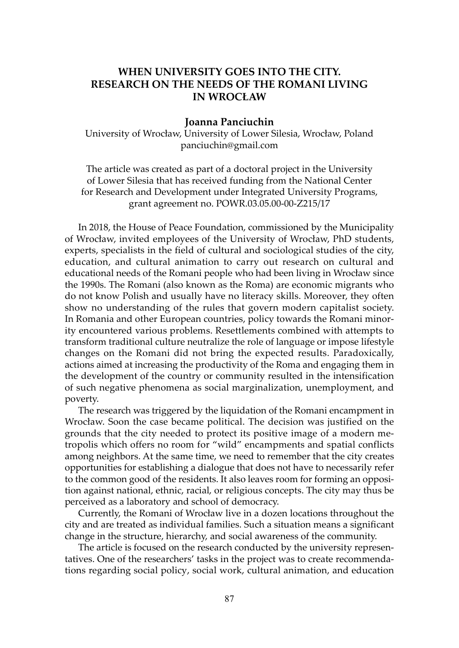# WHEN UNIVERSITY GOES INTO THE CITY. RESEARCH ON THE NEEDS OF THE ROMANI LIVING IN WROCŁAW

### Joanna Panciuchin

University of Wrocław, University of Lower Silesia, Wrocław, Poland panciuchin@gmail.com

The article was created as part of a doctoral project in the University of Lower Silesia that has received funding from the National Center for Research and Development under Integrated University Programs, grant agreement no. POWR.03.05.00-00-Z215/17

In 2018, the House of Peace Foundation, commissioned by the Municipality of Wrocław, invited employees of the University of Wrocław, PhD students, experts, specialists in the field of cultural and sociological studies of the city, education, and cultural animation to carry out research on cultural and educational needs of the Romani people who had been living in Wrocław since the 1990s. The Romani (also known as the Roma) are economic migrants who do not know Polish and usually have no literacy skills. Moreover, they often show no understanding of the rules that govern modern capitalist society. In Romania and other European countries, policy towards the Romani minority encountered various problems. Resettlements combined with attempts to transform traditional culture neutralize the role of language or impose lifestyle changes on the Romani did not bring the expected results. Paradoxically, actions aimed at increasing the productivity of the Roma and engaging them in the development of the country or community resulted in the intensification of such negative phenomena as social marginalization, unemployment, and poverty.

The research was triggered by the liquidation of the Romani encampment in Wrocław. Soon the case became political. The decision was justified on the grounds that the city needed to protect its positive image of a modern metropolis which offers no room for "wild" encampments and spatial conflicts among neighbors. At the same time, we need to remember that the city creates opportunities for establishing a dialogue that does not have to necessarily refer to the common good of the residents. It also leaves room for forming an opposition against national, ethnic, racial, or religious concepts. The city may thus be perceived as a laboratory and school of democracy.

Currently, the Romani of Wrocław live in a dozen locations throughout the city and are treated as individual families. Such a situation means a significant change in the structure, hierarchy, and social awareness of the community.

The article is focused on the research conducted by the university representatives. One of the researchers' tasks in the project was to create recommendations regarding social policy, social work, cultural animation, and education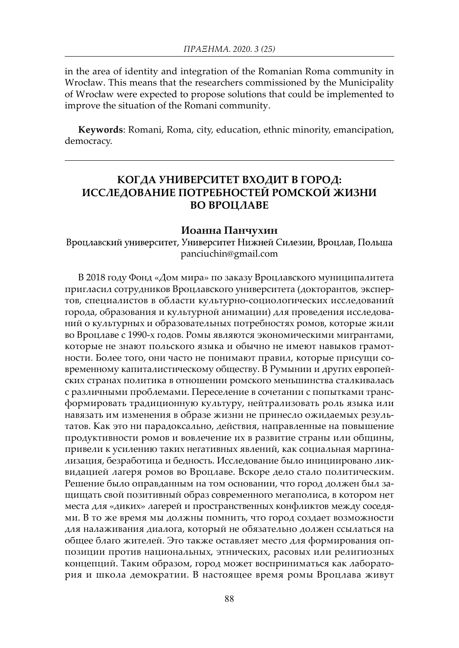in the area of identity and integration of the Romanian Roma community in Wrocław. This means that the researchers commissioned by the Municipality of Wrocław were expected to propose solutions that could be implemented to improve the situation of the Romani community.

Keywords: Romani, Roma, city, education, ethnic minority, emancipation, democracy.

## КОГДА УНИВЕРСИТЕТ ВХОДИТ В ГОРОД: ИССЛЕДОВАНИЕ ПОТРЕБНОСТЕЙ РОМСКОЙ ЖИЗНИ ВО ВРОЦЛАВЕ

#### Иоанна Панчухин

Вроцлавский университет, Университет Нижней Силезии, Вроцлав, Польша panciuchin@gmail.com

В 2018 году Фонд «Дом мира» по заказу Вроцлавского муниципалитета пригласил сотрудников Вроцлавского университета (докторантов, экспертов, специалистов в области культурно-социологических исследований города, образования и культурной анимации) для проведения исследований о культурных и образовательных потребностях ромов, которые жили во Вроцлаве с 1990-х годов. Ромы являются экономическими мигрантами, которые не знают польского языка и обычно не имеют навыков грамотности. Более того, они часто не понимают правил, которые присущи современному капиталистическому обществу. В Румынии и других европейских странах политика в отношении ромского меньшинства сталкивалась с различными проблемами. Переселение в сочетании с попытками трансформировать традиционную культуру, нейтрализовать роль языка или навязать им изменения в образе жизни не принесло ожидаемых результатов. Как это ни парадоксально, действия, направленные на повышение продуктивности ромов и вовлечение их в развитие страны или общины, привели к усилению таких негативных явлений, как социальная маргинализация, безработица и бедность. Исследование было инициировано ликвидацией лагеря ромов во Вроцлаве. Вскоре дело стало политическим. Решение было оправданным на том основании, что город должен был защищать свой позитивный образ современного мегаполиса, в котором нет места для «диких» лагерей и пространственных конфликтов между соседями. В то же время мы должны помнить, что город создает возможности для налаживания диалога, который не обязательно должен ссылаться на общее благо жителей. Это также оставляет место для формирования оппозиции против национальных, этнических, расовых или религиозных концепций. Таким образом, город может восприниматься как лаборатория и школа демократии. В настоящее время ромы Вроцлава живут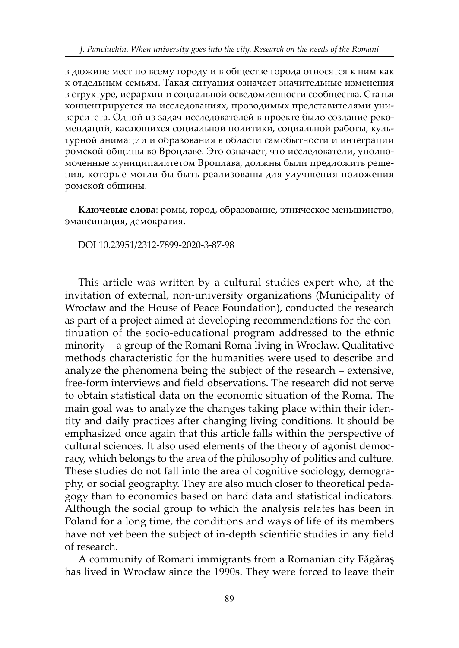в дюжине мест по всему городу и в обществе города относятся к ним как к отдельным семьям. Такая ситуация означает значительные изменения в структуре, иерархии и социальной осведомленности сообщества. Статья концентрируется на исследованиях, проводимых представителями университета. Одной из задач исследователей в проекте было создание рекомендаций, касающихся социальной политики, социальной работы, культурной анимации и образования в области самобытности и интеграции ромской общины во Вроцлаве. Это означает, что исследователи, уполномоченные муниципалитетом Вроцлава, должны были предложить решения, которые могли бы быть реализованы для улучшения положения ромской общины.

Ключевые слова: ромы, город, образование, этническое меньшинство, эмансипация, демократия.

DOI 10.23951/2312-7899-2020-3-87-98

This article was written by a cultural studies expert who, at the invitation of external, non-university organizations (Municipality of Wrocław and the House of Peace Foundation), conducted the research as part of a project aimed at developing recommendations for the continuation of the socio-educational program addressed to the ethnic minority – a group of the Romani Roma living in Wroclaw. Qualitative methods characteristic for the humanities were used to describe and analyze the phenomena being the subject of the research – extensive, free-form interviews and field observations. The research did not serve to obtain statistical data on the economic situation of the Roma. The main goal was to analyze the changes taking place within their identity and daily practices after changing living conditions. It should be emphasized once again that this article falls within the perspective of cultural sciences. It also used elements of the theory of agonist democracy, which belongs to the area of the philosophy of politics and culture. These studies do not fall into the area of cognitive sociology, demography, or social geography. They are also much closer to theoretical pedagogy than to economics based on hard data and statistical indicators. Although the social group to which the analysis relates has been in Poland for a long time, the conditions and ways of life of its members have not yet been the subject of in-depth scientific studies in any field of research.

A community of Romani immigrants from a Romanian city Făgăraș has lived in Wrocław since the 1990s. They were forced to leave their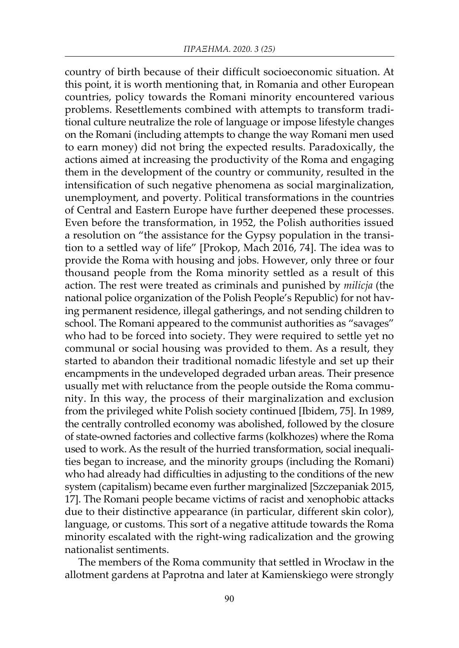country of birth because of their difficult socioeconomic situation. At this point, it is worth mentioning that, in Romania and other European countries, policy towards the Romani minority encountered various problems. Resettlements combined with attempts to transform traditional culture neutralize the role of language or impose lifestyle changes on the Romani (including attempts to change the way Romani men used to earn money) did not bring the expected results. Paradoxically, the actions aimed at increasing the productivity of the Roma and engaging them in the development of the country or community, resulted in the intensification of such negative phenomena as social marginalization, unemployment, and poverty. Political transformations in the countries of Central and Eastern Europe have further deepened these processes. Even before the transformation, in 1952, the Polish authorities issued a resolution on "the assistance for the Gypsy population in the transition to a settled way of life" [Prokop, Mach 2016, 74]. The idea was to provide the Roma with housing and jobs. However, only three or four thousand people from the Roma minority settled as a result of this action. The rest were treated as criminals and punished by *milicja* (the national police organization of the Polish People's Republic) for not having permanent residence, illegal gatherings, and not sending children to school. The Romani appeared to the communist authorities as "savages" who had to be forced into society. They were required to settle yet no communal or social housing was provided to them. As a result, they started to abandon their traditional nomadic lifestyle and set up their encampments in the undeveloped degraded urban areas. Their presence usually met with reluctance from the people outside the Roma community. In this way, the process of their marginalization and exclusion from the privileged white Polish society continued [Ibidem, 75]. In 1989, the centrally controlled economy was abolished, followed by the closure of state-owned factories and collective farms (kolkhozes) where the Roma used to work. As the result of the hurried transformation, social inequalities began to increase, and the minority groups (including the Romani) who had already had difficulties in adjusting to the conditions of the new system (capitalism) became even further marginalized [Szczepaniak 2015, 17]. The Romani people became victims of racist and xenophobic attacks due to their distinctive appearance (in particular, different skin color), language, or customs. This sort of a negative attitude towards the Roma minority escalated with the right-wing radicalization and the growing nationalist sentiments.

The members of the Roma community that settled in Wrocław in the allotment gardens at Paprotna and later at Kamienskiego were strongly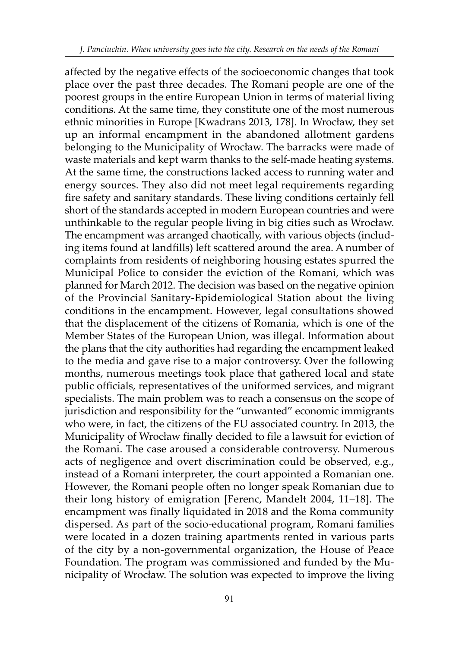affected by the negative effects of the socioeconomic changes that took place over the past three decades. The Romani people are one of the poorest groups in the entire European Union in terms of material living conditions. At the same time, they constitute one of the most numerous ethnic minorities in Europe [Kwadrans 2013, 178]. In Wrocław, they set up an informal encampment in the abandoned allotment gardens belonging to the Municipality of Wrocław. The barracks were made of waste materials and kept warm thanks to the self-made heating systems. At the same time, the constructions lacked access to running water and energy sources. They also did not meet legal requirements regarding fire safety and sanitary standards. These living conditions certainly fell short of the standards accepted in modern European countries and were unthinkable to the regular people living in big cities such as Wrocław. The encampment was arranged chaotically, with various objects (including items found at landfills) left scattered around the area. A number of complaints from residents of neighboring housing estates spurred the Municipal Police to consider the eviction of the Romani, which was planned for March 2012. The decision was based on the negative opinion of the Provincial Sanitary-Epidemiological Station about the living conditions in the encampment. However, legal consultations showed that the displacement of the citizens of Romania, which is one of the Member States of the European Union, was illegal. Information about the plans that the city authorities had regarding the encampment leaked to the media and gave rise to a major controversy. Over the following months, numerous meetings took place that gathered local and state public officials, representatives of the uniformed services, and migrant specialists. The main problem was to reach a consensus on the scope of jurisdiction and responsibility for the "unwanted" economic immigrants who were, in fact, the citizens of the EU associated country. In 2013, the Municipality of Wrocław finally decided to file a lawsuit for eviction of the Romani. The case aroused a considerable controversy. Numerous acts of negligence and overt discrimination could be observed, e.g., instead of a Romani interpreter, the court appointed a Romanian one. However, the Romani people often no longer speak Romanian due to their long history of emigration [Ferenc, Mandelt 2004, 11–18]. The encampment was finally liquidated in 2018 and the Roma community dispersed. As part of the socio-educational program, Romani families were located in a dozen training apartments rented in various parts of the city by a non-governmental organization, the House of Peace Foundation. The program was commissioned and funded by the Municipality of Wrocław. The solution was expected to improve the living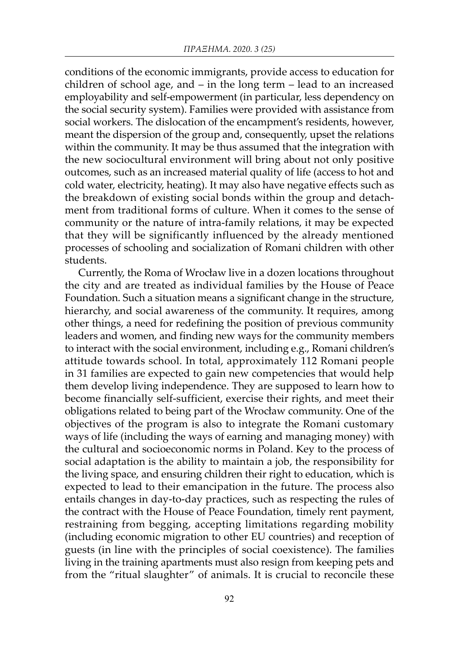conditions of the economic immigrants, provide access to education for children of school age, and – in the long term – lead to an increased employability and self-empowerment (in particular, less dependency on the social security system). Families were provided with assistance from social workers. The dislocation of the encampment's residents, however, meant the dispersion of the group and, consequently, upset the relations within the community. It may be thus assumed that the integration with the new sociocultural environment will bring about not only positive outcomes, such as an increased material quality of life (access to hot and cold water, electricity, heating). It may also have negative effects such as the breakdown of existing social bonds within the group and detachment from traditional forms of culture. When it comes to the sense of community or the nature of intra-family relations, it may be expected that they will be significantly influenced by the already mentioned processes of schooling and socialization of Romani children with other students.

Currently, the Roma of Wrocław live in a dozen locations throughout the city and are treated as individual families by the House of Peace Foundation. Such a situation means a significant change in the structure, hierarchy, and social awareness of the community. It requires, among other things, a need for redefining the position of previous community leaders and women, and finding new ways for the community members to interact with the social environment, including e.g., Romani children's attitude towards school. In total, approximately 112 Romani people in 31 families are expected to gain new competencies that would help them develop living independence. They are supposed to learn how to become financially self-sufficient, exercise their rights, and meet their obligations related to being part of the Wrocław community. One of the objectives of the program is also to integrate the Romani customary ways of life (including the ways of earning and managing money) with the cultural and socioeconomic norms in Poland. Key to the process of social adaptation is the ability to maintain a job, the responsibility for the living space, and ensuring children their right to education, which is expected to lead to their emancipation in the future. The process also entails changes in day-to-day practices, such as respecting the rules of the contract with the House of Peace Foundation, timely rent payment, restraining from begging, accepting limitations regarding mobility (including economic migration to other EU countries) and reception of guests (in line with the principles of social coexistence). The families living in the training apartments must also resign from keeping pets and from the "ritual slaughter" of animals. It is crucial to reconcile these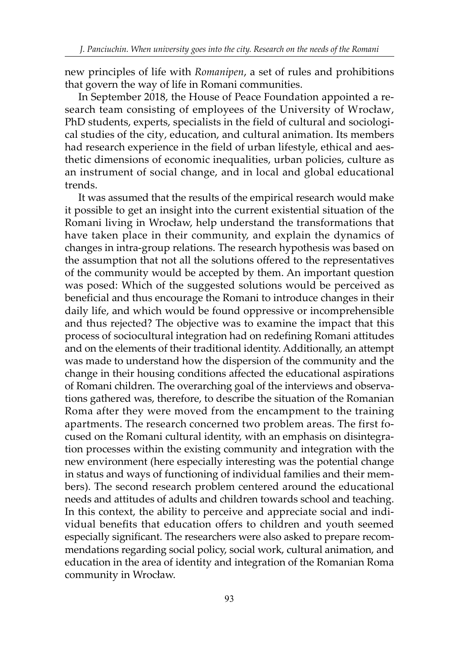new principles of life with *Romanipen*, a set of rules and prohibitions that govern the way of life in Romani communities.

In September 2018, the House of Peace Foundation appointed a research team consisting of employees of the University of Wrocław, PhD students, experts, specialists in the field of cultural and sociological studies of the city, education, and cultural animation. Its members had research experience in the field of urban lifestyle, ethical and aesthetic dimensions of economic inequalities, urban policies, culture as an instrument of social change, and in local and global educational trends.

It was assumed that the results of the empirical research would make it possible to get an insight into the current existential situation of the Romani living in Wrocław, help understand the transformations that have taken place in their community, and explain the dynamics of changes in intra-group relations. The research hypothesis was based on the assumption that not all the solutions offered to the representatives of the community would be accepted by them. An important question was posed: Which of the suggested solutions would be perceived as beneficial and thus encourage the Romani to introduce changes in their daily life, and which would be found oppressive or incomprehensible and thus rejected? The objective was to examine the impact that this process of sociocultural integration had on redefining Romani attitudes and on the elements of their traditional identity. Additionally, an attempt was made to understand how the dispersion of the community and the change in their housing conditions affected the educational aspirations of Romani children. The overarching goal of the interviews and observations gathered was, therefore, to describe the situation of the Romanian Roma after they were moved from the encampment to the training apartments. The research concerned two problem areas. The first focused on the Romani cultural identity, with an emphasis on disintegration processes within the existing community and integration with the new environment (here especially interesting was the potential change in status and ways of functioning of individual families and their members). The second research problem centered around the educational needs and attitudes of adults and children towards school and teaching. In this context, the ability to perceive and appreciate social and individual benefits that education offers to children and youth seemed especially significant. The researchers were also asked to prepare recommendations regarding social policy, social work, cultural animation, and education in the area of identity and integration of the Romanian Roma community in Wrocław.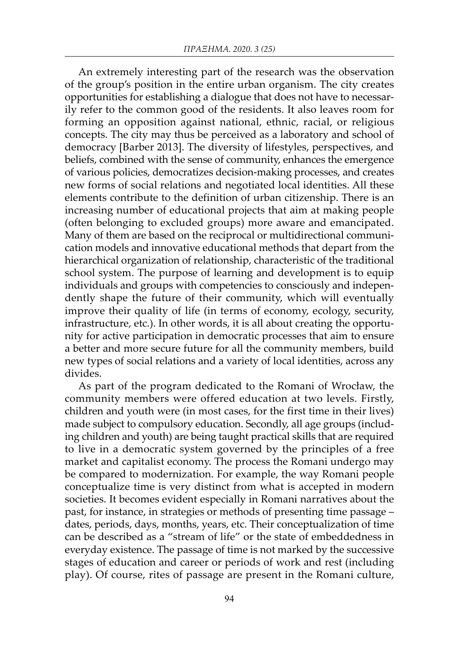An extremely interesting part of the research was the observation of the group's position in the entire urban organism. The city creates opportunities for establishing a dialogue that does not have to necessarily refer to the common good of the residents. It also leaves room for forming an opposition against national, ethnic, racial, or religious concepts. The city may thus be perceived as a laboratory and school of democracy [Barber 2013]. The diversity of lifestyles, perspectives, and beliefs, combined with the sense of community, enhances the emergence of various policies, democratizes decision-making processes, and creates new forms of social relations and negotiated local identities. All these elements contribute to the definition of urban citizenship. There is an increasing number of educational projects that aim at making people (often belonging to excluded groups) more aware and emancipated. Many of them are based on the reciprocal or multidirectional communication models and innovative educational methods that depart from the hierarchical organization of relationship, characteristic of the traditional school system. The purpose of learning and development is to equip individuals and groups with competencies to consciously and independently shape the future of their community, which will eventually improve their quality of life (in terms of economy, ecology, security, infrastructure, etc.). In other words, it is all about creating the opportunity for active participation in democratic processes that aim to ensure a better and more secure future for all the community members, build new types of social relations and a variety of local identities, across any divides.

As part of the program dedicated to the Romani of Wrocław, the community members were offered education at two levels. Firstly, children and youth were (in most cases, for the first time in their lives) made subject to compulsory education. Secondly, all age groups (including children and youth) are being taught practical skills that are required to live in a democratic system governed by the principles of a free market and capitalist economy. The process the Romani undergo may be compared to modernization. For example, the way Romani people conceptualize time is very distinct from what is accepted in modern societies. It becomes evident especially in Romani narratives about the past, for instance, in strategies or methods of presenting time passage – dates, periods, days, months, years, etc. Their conceptualization of time can be described as a "stream of life" or the state of embeddedness in everyday existence. The passage of time is not marked by the successive stages of education and career or periods of work and rest (including play). Of course, rites of passage are present in the Romani culture,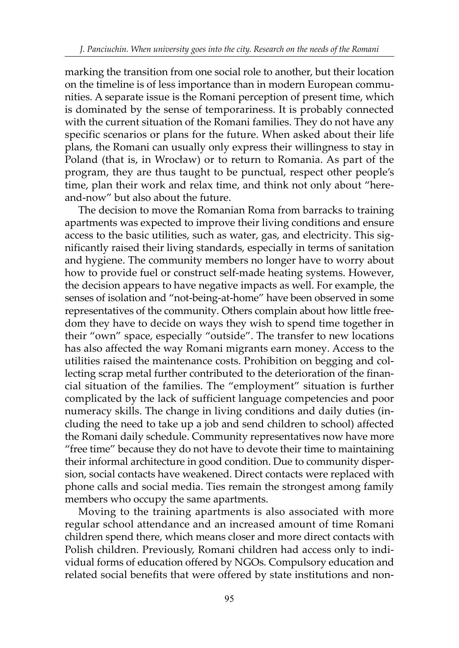marking the transition from one social role to another, but their location on the timeline is of less importance than in modern European communities. A separate issue is the Romani perception of present time, which is dominated by the sense of temporariness. It is probably connected with the current situation of the Romani families. They do not have any specific scenarios or plans for the future. When asked about their life plans, the Romani can usually only express their willingness to stay in Poland (that is, in Wrocław) or to return to Romania. As part of the program, they are thus taught to be punctual, respect other people's time, plan their work and relax time, and think not only about "hereand-now" but also about the future.

The decision to move the Romanian Roma from barracks to training apartments was expected to improve their living conditions and ensure access to the basic utilities, such as water, gas, and electricity. This significantly raised their living standards, especially in terms of sanitation and hygiene. The community members no longer have to worry about how to provide fuel or construct self-made heating systems. However, the decision appears to have negative impacts as well. For example, the senses of isolation and "not-being-at-home" have been observed in some representatives of the community. Others complain about how little freedom they have to decide on ways they wish to spend time together in their "own" space, especially "outside". The transfer to new locations has also affected the way Romani migrants earn money. Access to the utilities raised the maintenance costs. Prohibition on begging and collecting scrap metal further contributed to the deterioration of the financial situation of the families. The "employment" situation is further complicated by the lack of sufficient language competencies and poor numeracy skills. The change in living conditions and daily duties (including the need to take up a job and send children to school) affected the Romani daily schedule. Community representatives now have more "free time" because they do not have to devote their time to maintaining their informal architecture in good condition. Due to community dispersion, social contacts have weakened. Direct contacts were replaced with phone calls and social media. Ties remain the strongest among family members who occupy the same apartments.

Moving to the training apartments is also associated with more regular school attendance and an increased amount of time Romani children spend there, which means closer and more direct contacts with Polish children. Previously, Romani children had access only to individual forms of education offered by NGOs. Compulsory education and related social benefits that were offered by state institutions and non-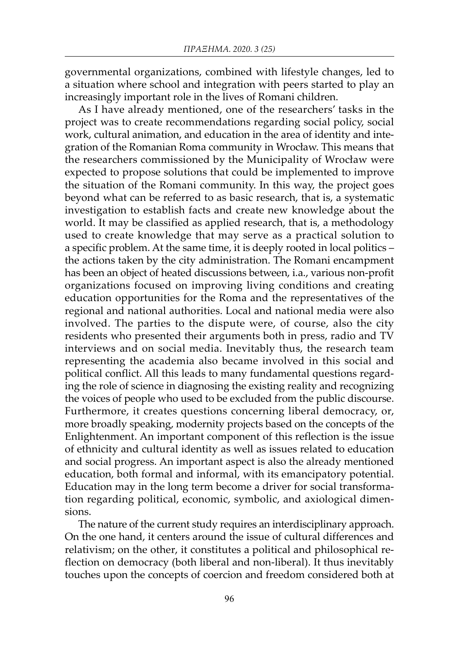governmental organizations, combined with lifestyle changes, led to a situation where school and integration with peers started to play an increasingly important role in the lives of Romani children.

As I have already mentioned, one of the researchers' tasks in the project was to create recommendations regarding social policy, social work, cultural animation, and education in the area of identity and integration of the Romanian Roma community in Wrocław. This means that the researchers commissioned by the Municipality of Wrocław were expected to propose solutions that could be implemented to improve the situation of the Romani community. In this way, the project goes beyond what can be referred to as basic research, that is, a systematic investigation to establish facts and create new knowledge about the world. It may be classified as applied research, that is, a methodology used to create knowledge that may serve as a practical solution to a specific problem. At the same time, it is deeply rooted in local politics – the actions taken by the city administration. The Romani encampment has been an object of heated discussions between, i.a., various non-profit organizations focused on improving living conditions and creating education opportunities for the Roma and the representatives of the regional and national authorities. Local and national media were also involved. The parties to the dispute were, of course, also the city residents who presented their arguments both in press, radio and TV interviews and on social media. Inevitably thus, the research team representing the academia also became involved in this social and political conflict. All this leads to many fundamental questions regarding the role of science in diagnosing the existing reality and recognizing the voices of people who used to be excluded from the public discourse. Furthermore, it creates questions concerning liberal democracy, or, more broadly speaking, modernity projects based on the concepts of the Enlightenment. An important component of this reflection is the issue of ethnicity and cultural identity as well as issues related to education and social progress. An important aspect is also the already mentioned education, both formal and informal, with its emancipatory potential. Education may in the long term become a driver for social transformation regarding political, economic, symbolic, and axiological dimensions.

The nature of the current study requires an interdisciplinary approach. On the one hand, it centers around the issue of cultural differences and relativism; on the other, it constitutes a political and philosophical reflection on democracy (both liberal and non-liberal). It thus inevitably touches upon the concepts of coercion and freedom considered both at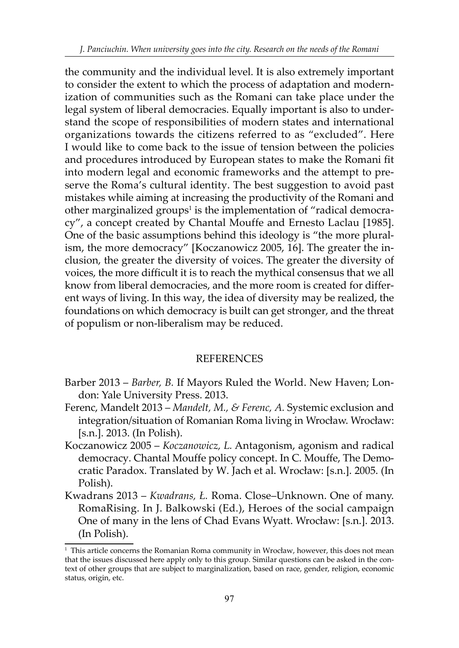the community and the individual level. It is also extremely important to consider the extent to which the process of adaptation and modernization of communities such as the Romani can take place under the legal system of liberal democracies. Equally important is also to understand the scope of responsibilities of modern states and international organizations towards the citizens referred to as "excluded". Here I would like to come back to the issue of tension between the policies and procedures introduced by European states to make the Romani fit into modern legal and economic frameworks and the attempt to preserve the Roma's cultural identity. The best suggestion to avoid past mistakes while aiming at increasing the productivity of the Romani and other marginalized groups<sup>1</sup> is the implementation of "radical democracy", a concept created by Chantal Mouffe and Ernesto Laclau [1985]. One of the basic assumptions behind this ideology is "the more pluralism, the more democracy" [Koczanowicz 2005, 16]. The greater the inclusion, the greater the diversity of voices. The greater the diversity of voices, the more difficult it is to reach the mythical consensus that we all know from liberal democracies, and the more room is created for different ways of living. In this way, the idea of diversity may be realized, the foundations on which democracy is built can get stronger, and the threat of populism or non-liberalism may be reduced.

# **REFERENCES**

- Barber 2013 *Barber, B.* If Mayors Ruled the World. New Haven; London: Yale University Press. 2013.
- Ferenc, Mandelt 2013 *Mandelt, M., & Ferenc, A.* Systemic exclusion and integration/situation of Romanian Roma living in Wrocław. Wrocław: [s.n.]. 2013. (In Polish).
- Koczanowicz 2005 *Koczanowicz, L.* Antagonism, agonism and radical democracy. Chantal Mouffe policy concept. In C. Mouffe, The Democratic Paradox. Translated by W. Jach et al. Wrocław: [s.n.]. 2005. (In Polish).
- Kwadrans 2013 *Kwadrans, Ł.* Roma. Close–Unknown. One of many. RomaRising. In J. Balkowski (Ed.), Heroes of the social campaign One of many in the lens of Chad Evans Wyatt. Wrocław: [s.n.]. 2013. (In Polish).

 $^{\rm 1}$  This article concerns the Romanian Roma community in Wrocław, however, this does not mean that the issues discussed here apply only to this group. Similar questions can be asked in the context of other groups that are subject to marginalization, based on race, gender, religion, economic status, origin, etc.